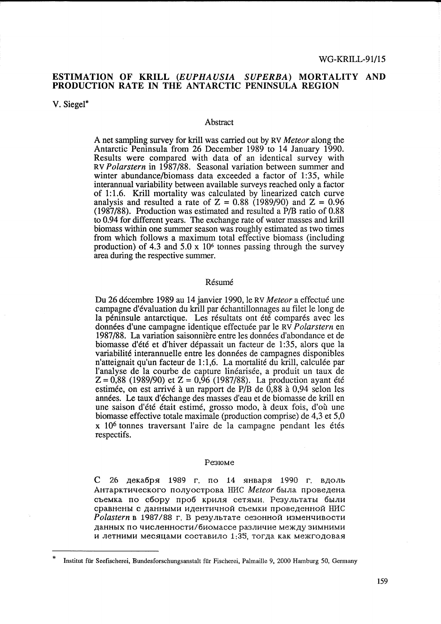# ESTIMATION OF KRILL *(EUPHAUSIA SUPERBA)* MORTALITY AND PRODUCTION RATE IN THE ANTARCTIC PENINSULA REGION

V. Siegel\*

#### Abstract

A net sampling survey for krill was carried out by RV *Meteor* along the Antarctic Peninsula from 26 December 1989 to 14 January 1990. Results were compared with data of an identical survey with RV *Polarstern* in 1987/88. Seasonal variation between summer and winter abundance/biomass data exceeded a factor of 1:35, while interannual variability between available surveys reached only a factor of 1:1.6. Krill mortality was calculated by linearized catch curve analysis and resulted a rate of  $Z = 0.88$  (1989/90) and  $Z = 0.96$ (1987/88). Production was estimated and resulted a *PIB* ratio of 0.88 to 0.94 for different years. The exchange rate of water masses and krill biomass within one summer season was roughly estimated as two times from which follows a maximum total effective biomass (including production) of 4.3 and  $5.0 \times 10^6$  tonnes passing through the survey area during the respective summer.

#### Résumé

Du 26 decembre 1989 au 14 janvier 1990, le RV *Meteor* a effectue une campagne d'evaluation du krill par echantillonnages au filet le long de la péninsule antarctique. Les résultats ont été comparés avec les données d'une campagne identique effectuée par le RV *Polarstern* en 1987/88. La variation saisonnière entre les données d'abondance et de biomasse d'été et d'hiver dépassait un facteur de 1:35, alors que la variabilite interannuelle entre les donnees de campagnes disponibles n'atteignait qu'un facteur de 1:1,6. La mortalité du krill, calculée par l'analyse de la courbe de capture linéarisée, a produit un taux de  $Z = 0.88$  (1989/90) et  $Z = 0.96$  (1987/88). La production ayant été estimée, on est arrivé à un rapport de P/B de 0,88 à 0,94 selon les années. Le taux d'échange des masses d'eau et de biomasse de krill en une saison d'été était estimé, grosso modo, à deux fois, d'où une biomasse effective totale maximale (production comprise) de 4,3 et 5,0 x 10<sup>6</sup> tonnes traversant l'aire de la campagne pendant les étés respectifs.

#### Pe3IOMe

 $C$  26 декабря 1989 г. по 14 января 1990 г. вдоль Антарктического полуострова НИС Meteor была проведена съемка по сбору проб криля сетями. Результаты были сравнены с данными идентичной съемки проведенной НИС *Polastern* в 1987/88 г. В результате сезонной изменчивости данных по численности/биомассе различие между зимними и летними месяцами составило 1:35, тогда как межгодовая

Institut für Seefischerei, Bundesforschungsanstalt für Fischerei, Palmaille 9, 2000 Hamburg 50, Germany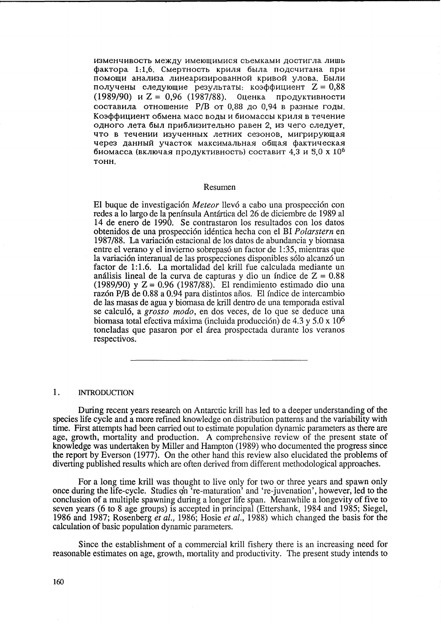изменчивость между имеющимися съемками достигла лишь фактора 1:1,6. Смертность криля была подсчитана при помощи анализа линеаризированной кривой улова. Были получены следующие результаты: коэффициент  $Z = 0.88$ (1989/90)  $\mu$  Z = 0,96 (1987/88). Оценка продуктивности составила отношение  $P/B$  от 0,88 до 0,94 в разные годы. Коэффициент обмена масс воды и биомассы криля в течение одного лета был приблизительно равен 2, из чего следует, что в течении изученных летних сезонов, мигрирующая через данный участок максимальная общая фактическая биомасса (включая продуктивность) составит 4,3 и 5,0 х  $10^6$ TOHH.

#### Resumen

El buque de investigación *Meteor* llevó a cabo una prospección con redes a 10 largo de la peninsula Antartica del 26 de diciembre de 1989 al 14 de enero de 1990. Se contrastaron los resultados con los datos obtenidos de una prospeccion identic a hecha con el BI *Polarstern* en 1987/88. La variacion estacional de los datos de abundancia y biomasa entre el verano y el invierno sobrepasó un factor de 1:35, mientras que la variación interanual de las prospecciones disponibles sólo alcanzó un factor de 1:1.6. La mortalidad del krill fue calculada mediante un análisis lineal de la curva de capturas y dio un índice de  $Z = 0.88$ (1989/90) y Z = 0.96 (1987/88). El rendimiento estimado dio una razón P/B de 0.88 a 0.94 para distintos años. El índice de intercambio de las masas de agua y biomasa de krill dentro de una temporada estival se calculó, a *grosso modo*, en dos veces, de lo que se deduce una biomasa total efectiva máxima (incluida producción) de 4.3 y 5.0 x 10<sup>6</sup> toneladas que pasaron por el área prospectada durante los veranos respectivos.

## 1. INTRODUCTION

During recent years research on Antarctic krill has led to a deeper understanding of the species life cycle and a more refined knowledge on distribution patterns and the variability with time. First attempts had been carried out to estimate population dynamic parameters as there are age, growth, mortality and production. A comprehensive review of the present state of knowledge was undertaken by Miller and Hampton (1989) who documented the progress since the report by Everson (1977). On the other hand this review also elucidated the problems of diverting published results which are often derived from different methodological approaches.

For a long time krill was thought to live only for two or three years and spawn only once during the life-cycle. Studies on 're-maturation' and 're-juvenation', however, led to the conclusion of a multiple spawning during a longer life span. Meanwhile a longevity of five to seven years (6 to 8 age groups) is accepted in principal (Ettershank, 1984 and 1985; Siegel, 1986 and 1987; Rosenberg *et al.,* 1986; Hosie *et al.,* 1988) which changed the basis for the calculation of basic population dynamic parameters.

Since the establishment of a commercial krill fishery there is an increasing need for reasonable estimates on age, growth, mortality and productivity. The present study intends to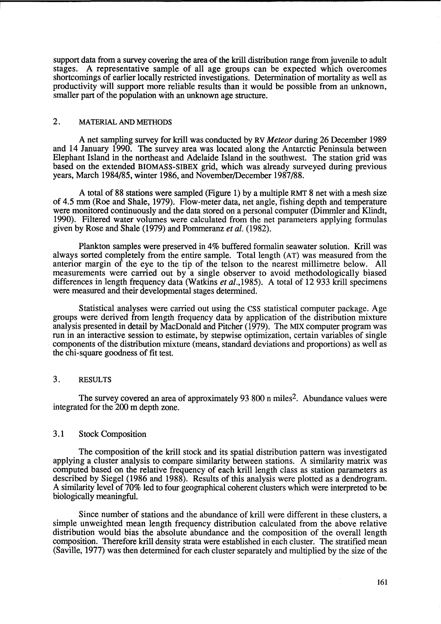support data from a survey covering the area of the krill distribution range from juvenile to adult stages. A representative sample of all age groups can be expected which overcomes A representative sample of all age groups can be expected which overcomes shortcomings of earlier locally restricted investigations. Determination of mortality as well as productivity will support more reliable results than it would be possible from an unknown, smaller part of the population with an unknown age structure.

# 2. MATERIAL AND METHODS

A net sampling survey for krill was conducted by RV *Meteor* during 26 December 1989 and 14 January 1990. The survey area was located along the Antarctic Peninsula between Elephant Island in the northeast and Adelaide Island in the southwest. The station grid was based on the extended BIOMASS-SIBEX grid, which was already surveyed during previous years, March 1984/85, winter 1986, and November/December 1987/88.

A total of 88 stations were sampled (Figure 1) by a multiple RMT 8 net with a mesh size of 4.5 mm (Roe and Shale, 1979). Flow-meter data, net angle, fishing depth and temperature were monitored continuously and the data stored on a personal computer (Dimmler and Klindt, 1990). Filtered water volumes were calculated from the net parameters applying formulas given by Rose and Shale (1979) and Pommeranz *et al. (1982).* 

Plankton samples were preserved in 4% buffered formalin seawater solution. Krill was always sorted completely from the entire sample. Total length (AT) was measured from the anterior margin of the eye to the tip of the telson to the nearest millimetre below. All measurements were carried out by a single observer to avoid methodologically biased differences in length frequency data (Watkins *et al.,1985).* A total of 12 933 krill specimens were measured and their developmental stages determined.

Statistical analyses were carried out using the CSS statistical computer package. Age groups were derived from length frequency data by application of the distribution mixture analysis presented in detail by MacDonald and Pitcher (1979). The MIX computer program was run in an interactive session to estimate, by stepwise optimization, certain variables of single components of the distribution mixture (means, standard deviations and proportions) as well as the chi-square goodness of fit test.

# 3. RESULTS

The survey covered an area of approximately 93 800 n miles<sup>2</sup>. Abundance values were integrated for the 200 m depth zone.

# 3.1 Stock Composition

The composition of the krill stock and its spatial distribution pattern was investigated applying a cluster analysis to compare similarity between stations. A similarity matrix was computed based on the relative frequency of each krill length class as station parameters as described by Siegel (1986 and 1988). Results of this analysis were plotted as a dendrogram. A similarity level of 70% led to four geographical coherent clusters which were interpreted to be biologically meaningful.

Since number of stations and the abundance of krill were different in these clusters, a simple unweighted mean length frequency distribution calculated from the above relative distribution would bias the absolute abundance and the composition of the overall length composition. Therefore krill density strata were established in each cluster. The stratified mean (Saville, 1977) was then determined for each cluster separately and multiplied by the size of the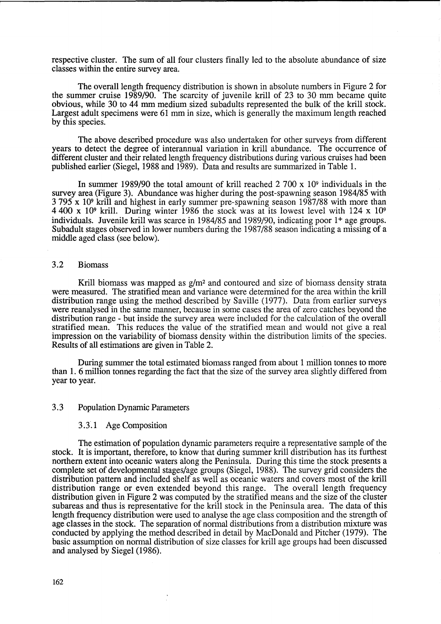respective cluster. The sum of all four clusters finally led to the absolute abundance of size classes within the entire survey area.

The overall length frequency distribution is shown in absolute numbers in Figure 2 for the summer cruise 1989/90. The scarcity of juvenile krill of 23 to 30 mm became quite obvious, while 30 to 44 mm medium sized subadults represented the bulk of the krill stock. Largest adult specimens were 61 mm in size, which is generally the maximum length reached by this species.

The above described procedure was also undertaken for other surveys from different years to detect the degree of interannual variation in krill abundance. The occurrence of different cluster and their related length frequency distributions during various cruises had been published earlier (Siegel, 1988 and 1989). Data and results are summarized in Table 1.

In summer 1989/90 the total amount of krill reached 2 700 x 109 individuals in the survey area (Figure 3). Abundance was higher during the post-spawning season 1984/85 with 3 795 x 109 krill and highest in early summer pre-spawning season 1987/88 with more than 4400 x 109 krill. During winter 1986 the stock was at its lowest level with 124 x 10<sup>9</sup> individuals. Juvenile krill was scarce in 1984/85 and 1989/90, indicating poor 1+ age groups. Subadult stages observed in lower numbers during the 1987/88 season indicating a missing of a middle aged class (see below).

# 3.2 Biomass

Krill biomass was mapped as  $g/m^2$  and contoured and size of biomass density strata were measured. The stratified mean and variance were determined for the area within the krill distribution range using the method described by Saville (1977). Data from earlier surveys were reanalysed in the same manner, because in some cases the area of zero catches beyond the distribution range - but inside the survey area were included for the calculation of the overall stratified mean. This reduces the value of the stratified mean and would not give a real impression on the variability of biomass density within the distribution limits of the species. Results of all estimations are given in Table 2.

During summer the total estimated biomass ranged from about 1 million tonnes to more than 1. 6 million tonnes regarding the fact that the size of the survey area slightly differed from year to year.

## 3.3 Population Dynamic Parameters

## 3.3.1 Age Composition

The estimation of population dynamic parameters require a representative sample of the stock. It is important, therefore, to know that during summer krill distribution has its furthest northern extent into oceanic waters along the Peninsula. During this time the stock presents a complete set of developmental stages/age groups (Siegel, 1988). The survey grid considers the distribution pattern and included shelf as well as oceanic waters and covers most of the krill distribution range or even extended beyond this range. The overall length frequency distribution given in Figure 2 was computed by the stratified means and the size of the cluster subareas and thus is representative for the krill stock in the Peninsula area. The data of this length frequency distribution were used to analyse the age class composition and the strength of age classes in the stock. The separation of normal distributions from a distribution mixture was conducted by applying the method described in detail by MacDonald and Pitcher (1979). The basic assumption on normal distribution of size classes for krill age groups had been discussed and analysed by Siegel (1986).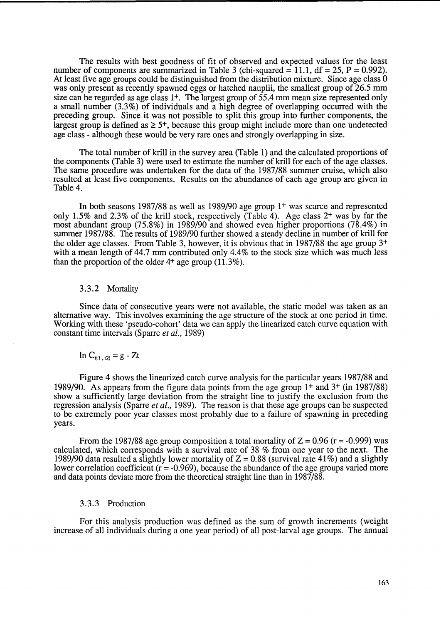The results with best goodness of fit of observed and expected values for the least number of components are summarized in Table 3 (chi-squared  $= 11.1$ , df  $= 25$ , P  $= 0.992$ ). At least five age groups could be distinguished from the distribution mixture. Since age class 0 was only present as recently spawned eggs or hatched nauplii, the smallest group of 26.5 mm size can be regarded as age class  $1^+$ . The largest group of  $55.4$  mm mean size represented only a small number (3.3%) of individuals and a high degree of overlapping occurred with the preceding group. Since it was not possible to split this group into further components, the largest group is defined as  $\geq 5^{+}$ , because this group might include more than one undetected age class - although these would be very rare ones and strongly overlapping in size.

The total number of krill in the survey area (Table 1) and the calculated proportions of the components (Table 3) were used to estimate the number of krill for each of the age classes. The same procedure was undertaken for the data of the 1987/88 summer cruise, which also resulted at least five components. Results on the abundance of each age group are given in Table 4.

In both seasons 1987/88 as well as 1989/90 age group 1<sup>+</sup> was scarce and represented only 1.5% and 2.3% of the krill stock, respectively (Table 4). Age class 2+ was by far the most abundant group (75.8%) in 1989/90 and showed even higher proportions (78.4%) in summer 1987/88. The results of 1989/90 further showed a steady decline in number of krill for the older age classes. From Table 3, however, it is obvious that in 1987/88 the age group 3+ with a mean length of 44.7 mm contributed only 4.4% to the stock size which was much less than the proportion of the older 4+ age group (11.3%).

## 3.3.2 Mortality

Since data of consecutive years were not available, the static model was taken as an alternative way. This involves examining the age structure of the stock at one period in time. Working with these 'pseudo-cohort' data we can apply the linearized catch curve equation with constant time intervals (Sparre *et al., 1989)* 

$$
\ln\,C_{(t1\ ,\ t2)}=g\text{ - }Zt
$$

Figure 4 shows the linearized catch curve analysis for the particular years 1987/88 and 1989/90. As appears from the figure data points from the age group 1+ and 3+ (in 1987/88) show a sufficiently large deviation from the straight line to justify the exclusion from the regression analysis (Sparre *et al.,* 1989). The reason is that these age groups can be suspected to be extremely poor year classes most probably due to a failure of spawning in preceding years.

From the 1987/88 age group composition a total mortality of  $Z = 0.96$  ( $r = -0.999$ ) was calculated, which corresponds with a survival rate of 38 % from one year to the next. The 1989/90 data resulted a slightly lower mortality of  $Z = 0.88$  (survival rate 41%) and a slightly lower correlation coefficient  $(r = -0.969)$ , because the abundance of the age groups varied more and data points deviate more from the theoretical straight line than in 1987/88.

# 3.3.3 Production

For this analysis production was defined as the sum of growth increments (weight increase of all individuals during a one year period) of all post-larval age groups. The annual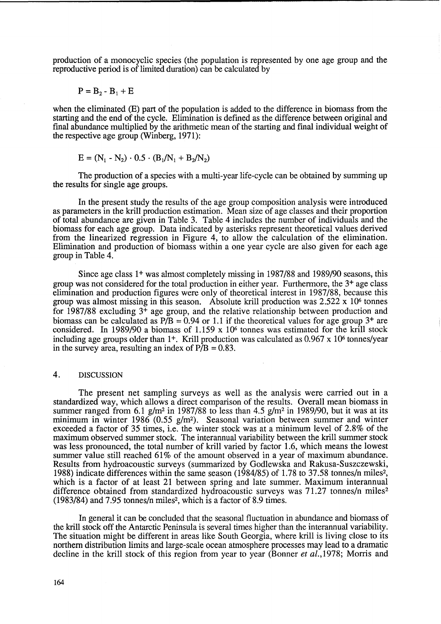production of a monocyclic species (the population is represented by one age group and the reproductive period is of limited duration) can be calculated by

$$
P = B_2 - B_1 + E
$$

when the eliminated (E) part of the population is added to the difference in biomass from the starting and the end of the cycle. Elimination is defined as the difference between original and final abundance multiplied by the arithmetic mean of the starting and final individual weight of the respective age group (Winberg, 1971):

$$
E = (N_1 - N_2) \cdot 0.5 \cdot (B_1/N_1 + B_2/N_2)
$$

The production of a species with a multi-year life-cycle can be obtained by summing up the results for single age groups.

In the present study the results of the age group composition analysis were introduced as parameters in the krill production estimation. Mean size of age classes and their proportion of total abundance are given in Table 3. Table 4 includes the number of individuals and the biomass for each age group. Data indicated by asterisks represent theoretical values derived from the linearized regression in Figure 4, to allow the calculation of the elimination. Elimination and production of biomass within a one year cycle are also given for each age group in Table 4.

Since age class 1+ was almost completely missing in 1987/88 and 1989/90 seasons, this group was not considered for the total production in either year. Furthermore, the 3+ age class elimination and production figures were only of theoretical interest in 1987/88, because this group was almost missing in this season. Absolute krill production was 2.522 x 106 tonnes for 1987/88 excluding 3+ age group, and the relative relationship between production and biomass can be calculated as  $P/B = 0.94$  or 1.1 if the theoretical values for age group 3<sup>+</sup> are considered. In 1989/90 a biomass of  $1.159 \times 10^6$  tonnes was estimated for the krill stock including age groups older than  $1^+$ . Krill production was calculated as 0.967 x 10<sup>6</sup> tonnes/year in the survey area, resulting an index of  $\overline{P/B} = 0.83$ .

# 4. DISCUSSION

The present net sampling surveys as well as the analysis were carried out in a standardized way, which allows a direct comparison of the results. Overall mean biomass in summer ranged from 6.1 g/m<sup>2</sup> in 1987/88 to less than 4.5 g/m<sup>2</sup> in 1989/90, but it was at its minimum in winter  $1986 (0.55 g/m<sup>2</sup>)$ . Seasonal variation between summer and winter exceeded a factor of 35 times, i.e. the winter stock was at a minimum level of 2.8% of the maximum observed summer stock. The interannual variability between the krill summer stock was less pronounced, the total number of krill varied by factor 1.6, which means the lowest summer value still reached 61% of the amount observed in a year of maximum abundance. Results from hydroacoustic surveys (summarized by Godlewska and Rakusa-Suszczewski, 1988) indicate differences within the same season (1984/85) of 1.78 to 37.58 tonnes/n miles2, which is a factor of at least 21 between spring and late summer. Maximum interannual difference obtained from standardized hydroacoustic surveys was 71.27 tonnes/n miles<sup>2</sup> (1983/84) and 7.95 tonnes/n miles2, which is a factor of 8.9 times.

In general it can be concluded that the seasonal fluctuation in abundance and biomass of the krill stock off the Antarctic Peninsula is several times higher than the interannual variability. The situation might be different in areas like South Georgia, where krill is living close to its northern distribution limits and large-scale ocean atmosphere processes may lead to a dramatic decline in the krill stock of this region from year to year (Bonner *et al.*,1978; Morris and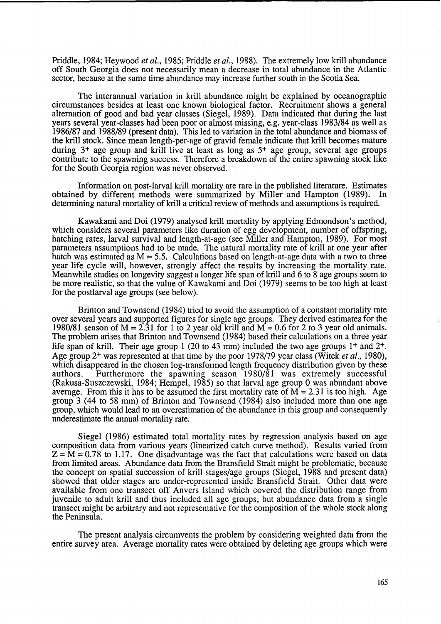Priddle, 1984; Heywood *et al.,* 1985; Priddle *et al.,* 1988). The extremely low krill abundance off South Georgia does not necessarily mean a decrease in total abundance in the Atlantic sector, because at the same time abundance may increase further south in the Scotia Sea.

The interannual variation in krill abundance might be explained by oceanographic circumstances besides at least one known biological factor. Recruitment shows a general alternation of good and bad year classes (Siegel, 1989). Data indicated that during the last years several year-classes had been poor or almost missing, e.g. year-class 1983/84 as well as 1986/87 and 1988/89 (present data). This led to variation in the total abundance and biomass of the kriU stock. Since mean length-per-age of gravid female indicate that krill becomes mature during  $3<sup>+</sup>$  age group and krill live at least as long as  $5<sup>+</sup>$  age group, several age groups contribute to the spawning success. Therefore a breakdown of the entire spawning stock like for the South Georgia region was never observed.

Information on post-larval krill mortality are rare in the published literature. Estimates obtained by different methods were summarized by Miller and Hampton (1989). In determining natural mortality of kriU a critical review of methods and assumptions is required.

Kawakami and Doi (1979) analysed krill mortality by applying Edmondson's method, which considers several parameters like duration of egg development, number of offspring, hatching rates, larval survival and length-at-age (see Miller and Hampton, 1989). For most parameters assumptions had to be made. The natural mortality rate of krill at one year after hatch was estimated as  $M = 5.5$ . Calculations based on length-at-age data with a two to three year life cycle will, however, strongly affect the results by increasing the mortality rate. Meanwhile studies on longevity suggest a longer life span of krill and 6 to 8 age groups seem to be more realistic, so that the value of Kawakami and Doi (1979) seems to be too high at least for the postlarval age groups (see below).

Brinton and Townsend (1984) tried to avoid the assumption of a constant mortality rate over several years and supported figures for single age groups. They derived estimates for the 1980/81 season of  $M = 2.31$  for 1 to 2 year old krill and  $M = 0.6$  for 2 to 3 year old animals. The problem arises that Brinton and Townsend (1984) based their calculations on a three year life span of krill. Their age group 1 (20 to 43 mm) included the two age groups 1+ and 2+. Age group 2+ was represented at that time by the poor 1978/79 year class (Witek *et al., 1980),*  which disappeared in the chosen log-transformed length frequency distribution given by these authors. Furthermore the spawning season 1980/81 was extremely successful (Rakusa-Suszczewski, 1984; Hempel, 1985) so that larval age group 0 was abundant above average. From this it has to be assumed the first mortality rate of  $M = 2.31$  is too high. Age group 3 (44 to 58 mm) of Brinton and Townsend (1984) also included more than one age group, which would lead to an overestimation of the abundance in this group and consequently underestimate the annual mortality rate.

Siegel (1986) estimated total mortality rates by regression analysis based on age composition data from various years (linearized catch curve method). Results varied from  $Z = M = 0.78$  to 1.17. One disadvantage was the fact that calculations were based on data from limited areas. Abundance data from the Bransfield Strait might be problematic, because the concept on spatial succession of krill stages/age groups (Siegel, 1988 and present data) showed that older stages are under-represented inside Bransfield Strait. Other data were available from one transect off Anvers Island which covered the distribution range from juvenile to adult krill and thus included all age groups, but abundance data from a single transect might be arbitrary and not representative for the composition of the whole stock along the Peninsula.

The present analysis circumvents the problem by considering weighted data from the entire survey area. Average mortality rates were obtained by deleting age groups which were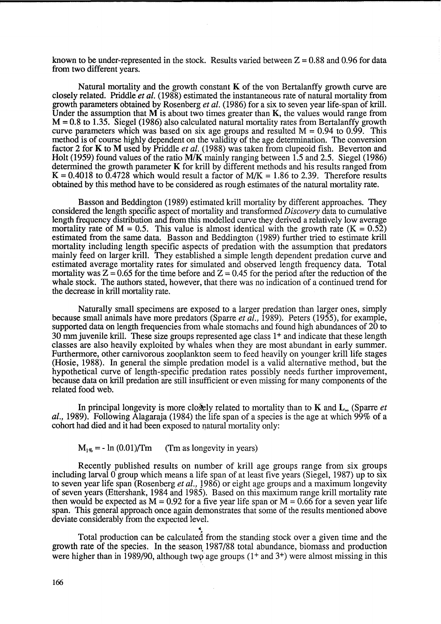known to be under-represented in the stock. Results varied between  $Z = 0.88$  and 0.96 for data from two different years.

Natural mortality and the growth constant  $K$  of the von Bertalanffy growth curve are closely related. Priddle *et al.* (1988) estimated the instantaneous rate of natural mortality from growth parameters obtained by Rosenberg *et al.* (1986) for a six to seven year life-span of krill. Under the assumption that  $M$  is about two times greater than  $K$ , the values would range from  $M = 0.8$  to 1.35. Siegel (1986) also calculated natural mortality rates from Bertalanffy growth curve parameters which was based on six age groups and resulted  $M = 0.94$  to 0.99. This method is of course highly dependent on the validity of the age determination. The conversion factor 2 for K to M used by Priddle *et al.* (1988) was taken from clupeoid fish. Beverton and Holt (1959) found values of the ratio M/K mainly ranging between 1.5 and 2.5. Siegel (1986) determined the growth parameter K for krill by different methods and his results ranged from  $K = 0.4018$  to 0.4728 which would result a factor of  $M/K = 1.86$  to 2.39. Therefore results obtained by this method have to be considered as rough estimates of the natural mortality rate.

Basson and Beddington (1989) estimated kriU mortality by different approaches. They considered the length specific aspect of mortality and transformed *Discovery* data to cumulative length frequency distribution and from this modelled curve they derived a relatively low average mortality rate of  $M = 0.5$ . This value is almost identical with the growth rate (K = 0.52) estimated from the same data. Basson and Beddington (1989) further tried to estimate krill mortality including length specific aspects of predation with the assumption that predators mainly feed on larger krill. They established a simple length dependent predation curve and estimated average mortality rates for simulated and observed length frequency data. Total mortality was  $Z = 0.65$  for the time before and  $Z = 0.45$  for the period after the reduction of the whale stock. The authors stated, however, that there was no indication of a continued trend for the decrease in krill mortality rate.

Naturally small specimens are exposed to a larger predation than larger ones, simply because small animals have more predators (Sparre *et al.,* 1989). Peters (1955), for example, supported data on length frequencies from whale stomachs and found high abundances of 20 to 30 mm juvenile krill. These size groups represented age class 1+ and indicate that these length classes are also heavily exploited by whales when they are most abundant in early summer. Furthermore, other carnivorous zooplankton seem to feed heavily on younger krill life stages (Hosie, 1988). In general the simple predation model is a valid alternative method, but the hypothetical curve of length-specific predation rates possibly needs further improvement, because data on kriU predation are still insufficient or even missing for many components of the related food web.

In principal longevity is more closely related to mortality than to  $\bf{K}$  and  $\bf{L}_{\infty}$  (Sparre *et al.,* 1989). Following Alagaraja (1984) the life span of a species is the age at which 99% of a cohort had died and it had been exposed to natural mortality only:

# $M_{1\%}$  = - ln (0.01)/Tm (Tm as longevity in years)

Recently published results on number of krill age groups range from six groups including larval  $\hat{0}$  group which means a life span of at least five years (Siegel, 1987) up to six to seven year life span (Rosenberg *et al.,* J986) or eight age groups and a maximum longevity of seven years (Ettershank, 1984 and 1985). Based on this maximum range krill mortality rate then would be expected as  $M = 0.92$  for a five year life span or  $M = 0.66$  for a seven year life span. This general approach once again demonstrates that some of the results mentioned above deviate considerably from the expected level.

Total production can be calculated from the standing stock over a given time and the growth rate of the species. In the season 1987/88 total abundance, biomass and production were higher than in 1989/90, although two age groups  $(1 +$  and  $3 +)$  were almost missing in this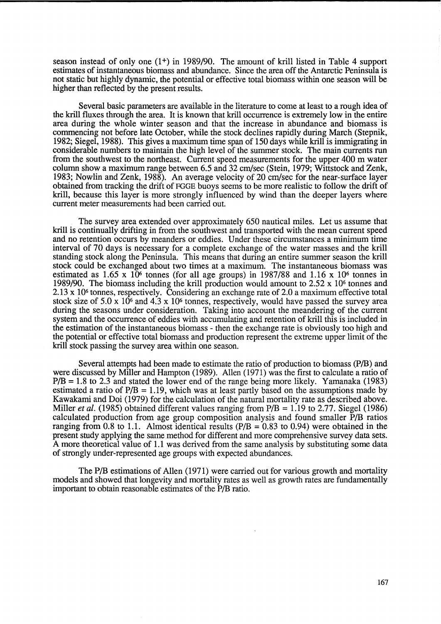season instead of only one  $(1^+)$  in 1989/90. The amount of krill listed in Table 4 support estimates of instantaneous biomass and abundance. Since the area off the Antarctic Peninsula is not static but highly dynamic, the potential or effective total biomass within one season will be higher than reflected by the present results.

Several basic parameters are available in the literature to come at least to a rough idea of the krill fluxes through the area. It is known that krilI occurrence is extremely low in the entire area during the whole winter season and that the increase in abundance and biomass is commencing not before late October, while the stock declines rapidly during March (Stepnik, 1982; Siegel, 1988). This gives a maximum time span of 150 days while krill is immigrating in considerable numbers to maintain the high level of the summer stock. The main currents run from the southwest to the northeast. Current speed measurements for the upper 400 m water column show a maximum range between 6.5 and 32 cm/sec (Stein, 1979; Wittstock and Zenk, 1983; Nowlin and Zenk, 1988). An average velocity of 20 cm/sec for the near-surface layer obtained from tracking the drift of FGGE buoys seems to be more realistic to follow the drift of krill, because this layer is more strongly influenced by wind than the deeper layers where current meter measurements had been carried out.

The survey area extended over approximately 650 nautical miles. Let us assume that krilI is continually drifting in from the southwest and transported with the mean current speed and no retention occurs by meanders or eddies. Under these circumstances a minimum time interval of 70 days is necessary for a complete exchange of the water masses and the krill standing stock along the Peninsula. This means that during an entire summer season the krill stock could be exchanged about two times at a maximum. The instantaneous biomass was estimated as  $1.65 \times 10^6$  tonnes (for all age groups) in 1987/88 and  $1.16 \times 10^6$  tonnes in 1989/90. The biomass including the krill production would amount to 2.52 x 106 tonnes and 2.13 x 106 tonnes, respectively. Considering an exchange rate of 2.0 a maximum effective total stock size of  $5.0 \times 10^6$  and  $4.3 \times 10^6$  tonnes, respectively, would have passed the survey area during the seasons under consideration. Taking into account the meandering of the current system and the occurrence of eddies with accumulating and retention of krill this is included in the estimation of the instantaneous biomass - then the exchange rate is obviously too high and the potential or effective total biomass and production represent the extreme upper limit of the krill stock passing the survey area within one season.

Several attempts had been made to estimate the ratio of production to biomass *(PIB)* and were discussed by Miller and Hampton (1989). AlIen (1971) was the first to calculate a ratio of *PIB* = 1.8 to 2.3 and stated the lower end of the range being more likely. Yamanaka (1983) estimated a ratio of *PIB* = 1.19, which was at least partly based on the assumptions made by Kawakami and Doi (1979) for the calculation of the natural mortality rate as described above. Miller *et al.* (1985) obtained different values ranging from *PIB* = 1.19 to 2.77. Siegel (1986) calculated production from age group composition analysis and found smaller *PIB* ratios ranging from 0.8 to 1.1. Almost identical results  $(P/B = 0.83$  to 0.94) were obtained in the present study applying the same method for different and more comprehensive survey data sets. A more theoretical value of 1.1 was derived from the same analysis by substituting some data of strongly under-represented age groups with expected abundances.

The *PIB* estimations of AlIen (1971) were carried out for various growth and mortality models and showed that longevity and mortality rates as well as growth rates are fundamentally important to obtain reasonable estimates of the *PIB* ratio.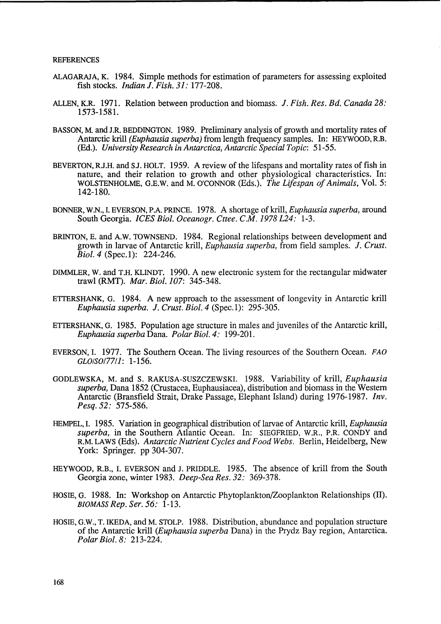#### REFERENCES

- ALAGARAJA, K. 1984. Simple methods for estimation of parameters for assessing exploited fish stocks. *Indian J. Fish. 31:* 177-208.
- ALLEN, K.R. 1971. Relation between production and biomass. !. *Fish. Res. Bd. Canada 28:*  1573-1581.
- BASSON, M. and J.R. BEDDINGTON. 1989. Preliminary analysis of growth and mortality rates of Antarctic krill *(Euphausia superba)* from length frequency samples. In: HEYWOOD, R.B. (Ed.). *University Research in Antarctica, Antarctic Special Topic:* 51-55.
- BEVERTON, R.J.H. and S.J. HOLT. 1959. A review of the lifespans and mortality rates of fish in nature, and their relation to growth and other physiological characteristics. In: WOLSTENHOLME, G.E.W. and M. O'CONNOR (Eds.). *The Lijespan of Animals,* Vol. 5: 142-180.
- BONNER, W.N., I. EVERSON, P.A. PRINCE. 1978. A shortage of krill, *Euphausia superba,* around South Georgia. *ICES Bioi. Oceanogr. Cttee. C.M.* 1978 *L24: 1-3.*
- BRINTON, E. and A.W. TOWNSEND. 1984. Regional relationships between development and growth in larvae of Antarctic krill, *Euphausia superba*, from field samples. J. Crust. *Biol. 4* (Spec. 1): 224-246.
- DIMMLER, W. and T.H. KLINDT. 1990. A new electronic system for the rectangular midwater trawl (RMT). *Mar. Bioi.* 107: 345-348.
- ETTERSHANK, G. 1984. A new approach to the assessment of longevity in Antarctic krill *Euphausia superba.* !. *Crust. Bioi.* 4 (Spec. 1): 295-305.
- ETTERSHANK, G. 1985. Population age structure in males and juveniles of the Antarctic krill, *Euphausia superba* Dana. *Polar Bioi.* 4: 199-201.
- EVERSON, I. 1977. The Southern Ocean. The living resources of the Southern Ocean. FAO GLOISOI7711: 1-156.
- GODLEWSKA, M. and S. RAKUSA-SUSZCZEWSKI. 1988. Variability of krill, *Euphausia superba,* Dana 1852 (Crustacea, Euphausiacea), distribution and biomass in the Western Antarctic (Bransfield Strait, Drake Passage, Elephant Island) during 1976-1987. *Inv. Pesq.52:* 575-586.
- HEMPEL, I. 1985. Variation in geographical distribution of larvae of Antarctic krill, *Euphausia superba,* in the Southern Atlantic Ocean. In: SIEGFRIED, W.R., P.R. CONDY and R.M. LAWS (Eds). *Antarctic Nutrient Cycles and Food Webs.* Berlin, Heidelberg, New York: Springer. pp 304-307.
- HEYWOOD, R.B., I. EVERSON and J. PRIDDLE. 1985. The absence of krill from the South Georgia zone, winter 1983. *Deep-Sea Res.* 32: 369-378.
- HOSIE, G. 1988. In: Workshop on Antarctic Phytoplankton/Zooplankton Relationships (II). BIOMASS *Rep. Ser.* 56: 1-13.
- HOSIE, G.w., T. IKEDA, and M. STOLP. 1988. Distribution, abundance and population structure of the Antarctic krill *(Euphausia superba* Dana) in the Prydz Bay region, Antarctica. *Polar Bioi.* 8: 213-224.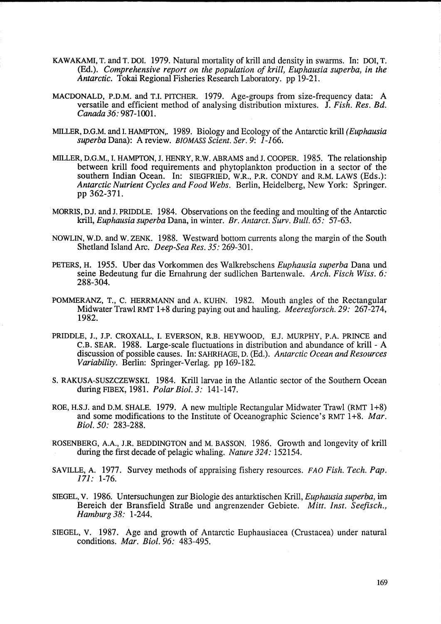- KAWAKAMI, T. and T. DOl. 1979. Natural mortality of kriU and density in swarms. In: DOl, T. (Ed.). *Comprehensive report on the population of krill, Euphausia superba, in the Antarctic.* Tokai Regional Fisheries Research Laboratory. pp 19-21.
- MACDONALD, P.D.M. and T.I. PITCHER. 1979. Age-groups from size-frequency data: A versatile and efficient method of analysing distribution mixtures. J. *Fish. Res. Bd. Canada* 36: 987-1001.
- MILLER, D.G.M. and I. HAMPTON,. 1989. Biology and Ecology of the Antarctic kriU *(Euphausia superba* Dana): A review. *BIOMASS Scient. Ser.* 9: 1-166.
- MILLER, D.G.M., I. HAMPTON, J. HENRY, R.W. ABRAMS and J. COOPER. 1985. The relationship between krill food requirements and phytoplankton production in a sector of the southern Indian Ocean. In: SIEGFRIED, W.R., P.R. CONDY and R.M. LAWS (Eds.): *Antarctic Nutrient Cycles and Food Webs.* Berlin, Heidelberg, New York: Springer. pp 362-371.
- MORRIS, DJ. and J. PRIDDLE. 1984. Observations on the feeding and moulting of the Antarctic krill, *Euphausia superba* Dana, in winter. *Br. Antarct. Surv. Bull.* 65: 57-63.
- NOWLIN, W.D. and W. ZENK. 1988. Westward bottom currents along the margin of the South Shetland Island Arc. *Deep-Sea Res.* 35: 269-301.
- PETERS, H. 1955. Uber das Vorkommen des Walkrebschens *Euphausia superba* Dana und seine Bedeutung fur die Ernahrung der sudlichen Bartenwale. *Arch. Fisch Wiss. 6:*  288-304.
- POMMERANZ, T., C. HERRMANN and A. KUHN. 1982. Mouth angles of the Rectangular Midwater Trawl RMT 1 +8 during paying out and hauling. *Meeresforsch.29:* 267-274, 1982.
- PRIDDLE, J., J.P. CROXALL, I. EVERSON, R.B. HEYWOOD, E.J. MURPHY, P.A. PRINCE and C.B. SEAR. 1988. Large-scale fluctuations in distribution and abundance of krill - A discussion of possible causes. In: SAHRHAGE, D. (Ed.). *Antarctic Ocean and Resources Variability.* Berlin: Springer-Verlag. pp 169-182.
- S. RAKUSA-SUSZCZEWSKI. 1984. Krilllarvae in the Atlantic sector of the Southern Ocean during FIBEX, 1981. *Polar Bioi.* 3: 141-147.
- ROE, H.S.J. and D.M. SHALE. 1979. A new multiple Rectangular Midwater Trawl (RMT 1+8) and some modifications to the Institute of Oceanographic Science's RMT 1+8. *Mar*. *Bioi.* 50: 283-288.
- ROSENBERG, A.A., J.R. BEDDINGTON and M. BASSON. 1986. Growth and longevity of krill during the first decade of pelagic whaling. *Nature 324*: 152154.
- SAVILLE, A. 1977. Survey methods of appraising fishery resources. *FAO Fish. Tech. Pap.*  171: 1-76.
- SIEGEL, V. 1986. Untersuchungen zur Biologie des antarktischen Krill, *Euphausia superba,* im Bereich der Bransfield StraBe und angrenzender Gebiete. *Mitt. Inst. Seefisch., Hamburg* 38: 1-244.
- SIEGEL, V. 1987. Age and growth of Antarctic Euphausiacea (Crustacea) under natural conditions. *Mar. Bioi.* 96: 483-495.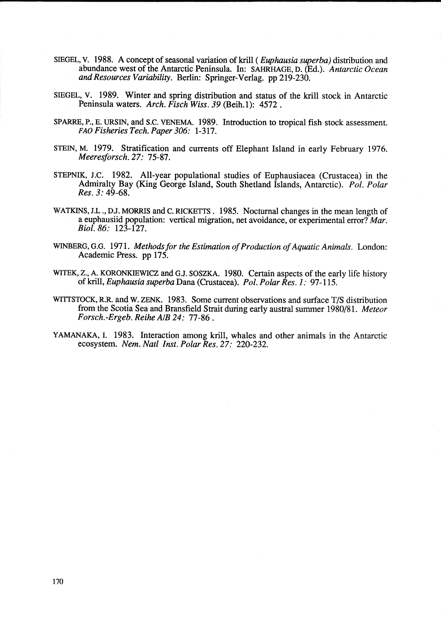- SIEGEL, V. 1988. A concept of seasonal variation of krill ( *Euphausia superba)* distribution and abundance west of the Antarctic Peninsula. In: SAHRHAGE, D. (Bd.). *Antarctic Ocean and Resources Variability.* Berlin: Springer-Verlag. pp 219-230.
- SIEGEL, V. 1989. Winter and spring distribution and status of the krill stock in Antarctic Peninsula waters. *Arch. Fisch Wiss.* 39 (Beih.l): 4572.
- SPARRE, P., E. URSIN, and S.C. VENEMA. 1989. Introduction to tropical fish stock assessment. FAO *Fisheries Tech. Paper 306:* 1-317.
- STEIN, M. 1979. Stratification and currents off Elephant Island in early February 1976. *Meeresforsch.27:* 75-87.
- STEPNIK, J.C. 1982. All-year populational studies of Euphausiacea (Crustacea) in the Admiralty Bay (King George Island, South Shetland Islands, Antarctic). *Pol. Polar Res.* 3: 49-68.
- WATKINS, J.L., D.J. MORRIS and C. RICKETTS. 1985. Nocturnal changes in the mean length of a euphausiid population: vertical migration, net avoidance, or experimental error? *Mar. Biol.86:* 123-127.
- WINBERG, G.G. 1971. *Methods for the Estimation of Production of Aquatic Animals.* London: Academic Press. pp 175.
- WITEK, z., A. KORONKIEWICZ and GJ. SOSZKA. 1980. Certain aspects of the early life history ofkrill, *Euphausia superba* Dana (Crustacea). *Pol. Polar Res.* 1 : 97-115.
- WITTSTOCK, R.R. and W. ZENK. 1983. Some current observations and surface T/S distribution from the Scotia Sea and Bransfield Strait during early austral summer 1980/81. *Meteor Forsch.-Ergeb. Reihe AIB* 24: 77-86.
- YAMANAKA, I. 1983. Interaction among krill, whales and other animals in the Antarctic ecosystem. *Nem. Natl Inst. Polar Res.* 27: 220-232.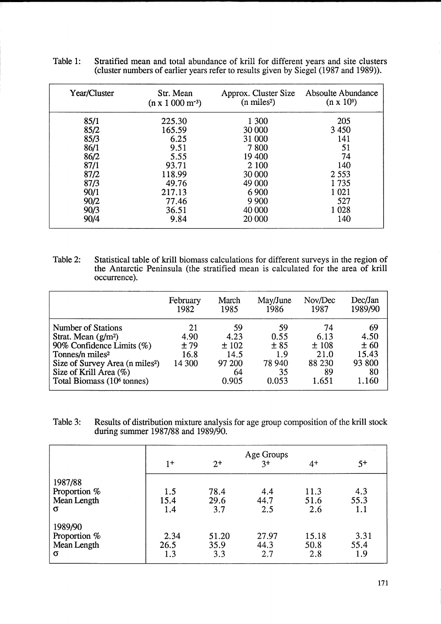| Year/Cluster | Str. Mean<br>$(n \times 1000 \text{ m}^{-3})$ | Approx. Cluster Size<br>$(n \text{ miles}^2)$ | Absoulte Abundance<br>$(n \times 10^9)$ |
|--------------|-----------------------------------------------|-----------------------------------------------|-----------------------------------------|
| 85/1         | 225.30                                        | 1 300                                         | 205                                     |
| 85/2         | 165.59                                        | 30 000                                        | 3 4 5 0                                 |
| 85/3         | 6.25                                          | 31 000                                        | 141                                     |
| 86/1         | 9.51                                          | 7800                                          | 51                                      |
| 86/2         | 5.55                                          | 19 400                                        | 74                                      |
| 87/1         | 93.71                                         | 2 100                                         | 140                                     |
| 87/2         | 118.99                                        | 30 000                                        | 2 5 5 3                                 |
| 87/3         | 49.76                                         | 49 000                                        | 1735                                    |
| 90/1         | 217.13                                        | 6 9 0 0                                       | 1 0 2 1                                 |
| 90/2         | 77.46                                         | 9 9 0 0                                       | 527                                     |
| 90/3         | 36.51                                         | 40 000                                        | 1 0 2 8                                 |
| 90/4         | 9.84                                          | 20 000                                        | 140                                     |

Table 1: Stratified mean and total abundance of krill for different years and site clusters (cluster numbers of earlier years refer to results given by Siegel (1987 and 1989)).

Table 2: Statistical table of krill biomass calculations for different surveys in the region of the Antarctic Peninsula (the stratified mean is calculated for the area of krill occurrence).

|                                                                                                                                                                                                                                             | February                            | March                                               | May/June                                           | Nov/Dec                                             | Dec/Jan                                              |
|---------------------------------------------------------------------------------------------------------------------------------------------------------------------------------------------------------------------------------------------|-------------------------------------|-----------------------------------------------------|----------------------------------------------------|-----------------------------------------------------|------------------------------------------------------|
|                                                                                                                                                                                                                                             | 1982                                | 1985                                                | 1986                                               | 1987                                                | 1989/90                                              |
| <b>Number of Stations</b><br>Strat. Mean (g/m <sup>2</sup> )<br>90% Confidence Limits (%)<br>Tonnes/n miles <sup>2</sup><br>Size of Survey Area (n miles <sup>2</sup> )<br>Size of Krill Area (%)<br>Total Biomass (10 <sup>6</sup> tonnes) | 21<br>4.90<br>±79<br>16.8<br>14 300 | 59<br>4.23<br>±102<br>14.5<br>97 200<br>64<br>0.905 | 59<br>0.55<br>± 85<br>1.9<br>78 940<br>35<br>0.053 | 74<br>6.13<br>±108<br>21.0<br>88 230<br>89<br>1.651 | 69<br>4.50<br>± 60<br>15.43<br>93 800<br>80<br>1.160 |

Table 3: Results of distribution mixture analysis for age group composition of the krill stock during summer 1987/88 and 1989/90.

|              |      |       | Age Groups<br>$3^+$ |       |      |
|--------------|------|-------|---------------------|-------|------|
|              | $1+$ | $2+$  |                     | $4+$  | $5+$ |
| 1987/88      |      |       |                     |       |      |
| Proportion % | 1.5  | 78.4  | 4.4                 | 11.3  | 4.3  |
| Mean Length  | 15.4 | 29.6  | 44.7                | 51.6  | 55.3 |
| $\sigma$     | 1.4  | 3.7   | 2.5                 | 2.6   | 1.1  |
| 1989/90      |      |       |                     |       |      |
| Proportion % | 2.34 | 51.20 | 27.97               | 15.18 | 3.31 |
| Mean Length  | 26.5 | 35.9  | 44.3                | 50.8  | 55.4 |
| σ            | 1.3  | 3.3   | 2.7                 | 2.8   | 1.9  |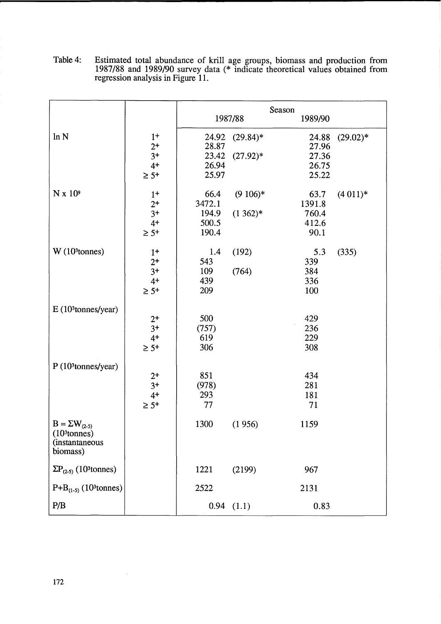|                                                                                          |                                             | Season                                    |                          |                                           |            |
|------------------------------------------------------------------------------------------|---------------------------------------------|-------------------------------------------|--------------------------|-------------------------------------------|------------|
|                                                                                          |                                             | 1987/88                                   |                          | 1989/90                                   |            |
| ln N                                                                                     | $1+$<br>$2^+$<br>$3+$<br>$4+$<br>$\geq 5+$  | 24.92<br>28.87<br>23.42<br>26.94<br>25.97 | $(29.84)*$<br>$(27.92)*$ | 24.88<br>27.96<br>27.36<br>26.75<br>25.22 | $(29.02)*$ |
| $N \times 10^9$                                                                          | $1+$<br>$2+$<br>$3+$<br>$4+$<br>$\geq 5^+$  | 66.4<br>3472.1<br>194.9<br>500.5<br>190.4 | $(9\ 106)*$<br>$(1362)*$ | 63.7<br>1391.8<br>760.4<br>412.6<br>90.1  | $(4011)*$  |
| $W(103$ tonnes)                                                                          | $1+$<br>$2^+$<br>$3+$<br>$4+$<br>$\geq 5^+$ | 1.4<br>543<br>109<br>439<br>209           | (192)<br>(764)           | 5.3<br>339<br>384<br>336<br>100           | (335)      |
| E(10 <sup>3</sup> tonnes/year)                                                           | $2+$<br>$3+$<br>$4+$<br>$\geq 5^+$          | 500<br>(757)<br>619<br>306                |                          | 429<br>236<br>229<br>308                  |            |
| P(10 <sup>3</sup> tonnes/year)                                                           | $2+$<br>$3+$<br>$4+$<br>$\geq 5^+$          | 851<br>(978)<br>293<br>77                 |                          | 434<br>281<br>181<br>71                   |            |
| $B = \Sigma W_{(2-5)}$<br>(10 <sup>3</sup> tonnes)<br><i>(instantaneous)</i><br>biomass) |                                             | 1300                                      | (1956)                   | 1159                                      |            |
| $\Sigma P_{(2-5)}$ (10 <sup>3</sup> tonnes)                                              |                                             | 1221                                      | (2199)                   | 967                                       |            |
| $P+B_{(1-5)}$ (10 <sup>3</sup> tonnes)                                                   |                                             | 2522                                      |                          | 2131                                      |            |
| P/B                                                                                      |                                             |                                           | $0.94$ $(1.1)$           | 0.83                                      |            |

Table 4: Estimated total abundance of krill age groups, biomass and production from 1987/88 and 1989/90 survey data (\* indicate theoretical values obtained from regression analysis in Figure 11.

 $\bar{z}$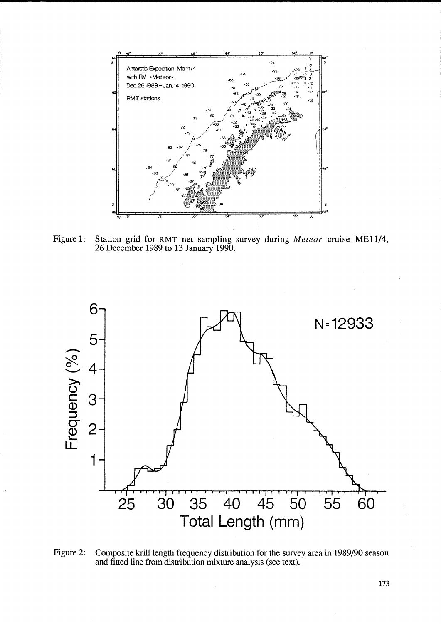

Figure 1: Station grid for RMT net sampling survey during *Meteor* cruise ME11/4, 26 December 1989 to 13 January 1990.



Figure 2: Composite krill length frequency distribution for the survey area in 1989/90 season and fitted line from distribution mixture analysis (see text).

173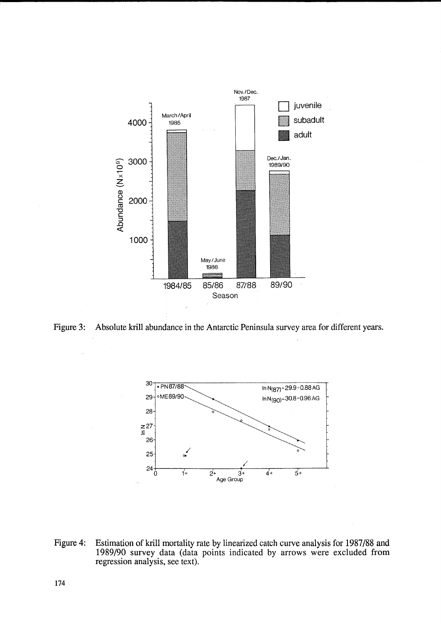

Figure 3: Absolute krill abundance in the Antarctic Peninsula survey area for different years.



Figure 4: Estimation of kriU mortality rate by linearized catch curve analysis for 1987/88 and 1989/90 survey data (data points indicated by arrows were excluded from regression analysis, see text).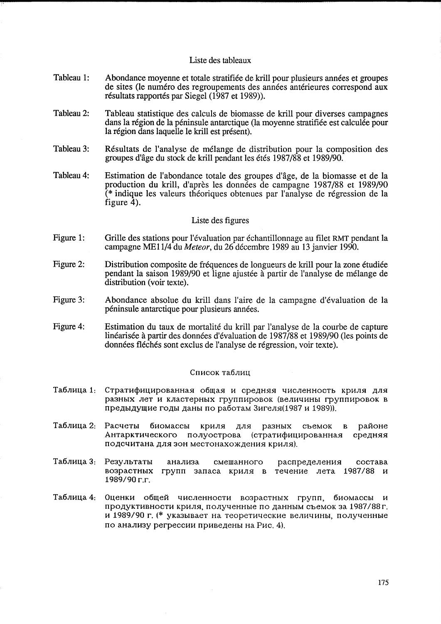### Liste des tableaux

- Tableau 1: Abondance moyenne et totale stratifiee de kriU pour plusieurs annees et groupes de sites (le numero des regroupements des annees anterieures correspond aux résultats rapportés par Siegel (1987 et 1989)).
- Tableau 2: Tableau statistique des calculs de biomasse de krill pour diverses campagnes dans la region de la peninsule antarctique (la moyenne stratifiee est calculee pour la région dans laquelle le krill est présent).
- Tableau 3: Resultats de l'analyse de melange de distribution pour la composition des groupes d'age du stock de krill pendant les etes 1987/88 et 1989/90.
- Tableau 4: Estimation de l'abondance totale des groupes d'age, de la biomasse et de la production du krill, d'apres les donnees de campagne 1987/88 et 1989/90 (\* indique les valeurs theoriques obtenues par l'analyse de regression de la figure  $\bar{4}$ ).

## Liste des figures

- Figure 1: Grille des stations pour l'évaluation par échantillonnage au filet RMT pendant la campagne MEl1/4 du *Meteor,* du 26 decembre 1989 au 13 janvier 1990.
- Figure 2: Distribution composite de frequences de longueurs de krill pour la zone etudiee pendant la saison 1989/90 et ligne ajustee a partir de l'analyse de melange de distribution (voir texte).
- Figure 3: Abondance absolue du krill dans l'aire de la campagne d'evaluation de la peninsule antarctique pour plusieurs annees.
- Figure 4: Estimation du taux de mortalite du kriU par l'analyse de la courbe de capture linéarisée à partir des données d'évaluation de 1987/88 et 1989/90 (les points de données fléchés sont exclus de l'analyse de régression, voir texte).

### Список таблиц

- Tаблица 1: Стратифицированная общая и средняя численность криля для разных лет и кластерных группировок (величины группировок в предыдущие годы даны по работам Зигеля(1987 и 1989)).
- Таблица 2: PaCqeTbl 6HoMaccbl KPHJIg aJIg pa3HblX CbeMOK B patioHe Антарктического полуострова (стратифицированная средняя подсчитана для зон местонахождения криля).
- Таблица 3: Результаты анализа смешанного распределения состава возрастных групп запаса криля в течение лета 1987/88 и  $1989/90r$ .
- Таблица 4: Оценки общей численности возрастных групп, биомассы и продуктивности криля, полученные по данным съемок за 1987/88 г. и 1989/90 г. (\* указывает на теоретические величины, полученные по анализу регрессии приведены на Рис. 4).